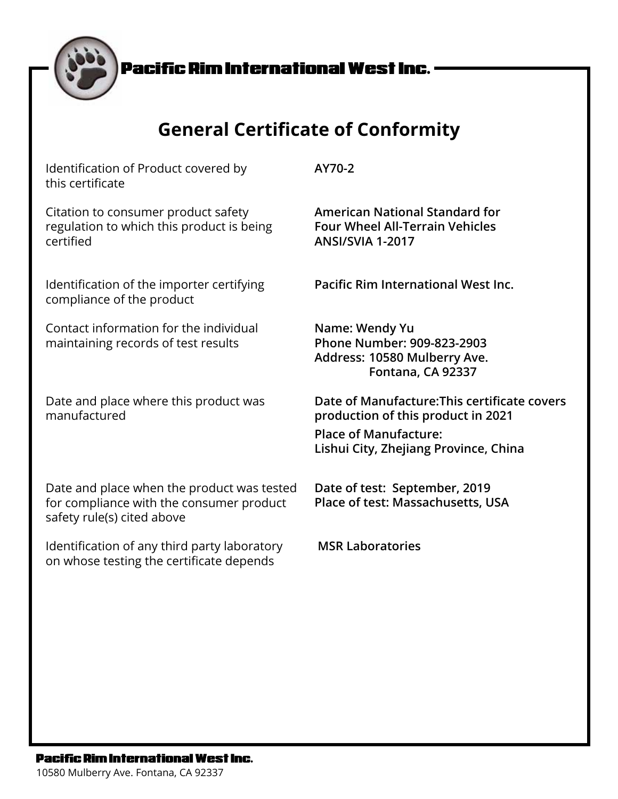# **General Certificate of Conformity**

**AY70-2**

**ANSI/SVIA 1-2017**

**Name: Wendy Yu**

Identification of Product covered by this certificate

Citation to consumer product safety regulation to which this product is being certified

Identification of the importer certifying compliance of the product

Contact information for the individual maintaining records of test results

Date and place where this product was manufactured

**Date of Manufacture:This certificate covers production of this product in 2021**

**Fontana, CA 92337**

**Phone Number: 909-823-2903 Address: 10580 Mulberry Ave.** 

**American National Standard for Four Wheel All-Terrain Vehicles**

**Pacific Rim International West Inc.**

**Place of Manufacture: Lishui City, Zhejiang Province, China**

Date and place when the product was tested for compliance with the consumer product safety rule(s) cited above

Identification of any third party laboratory on whose testing the certificate depends

**Date of test: September, 2019 Place of test: Massachusetts, USA**

 **MSR Laboratories**

#### **Pacific Rim International West Inc.**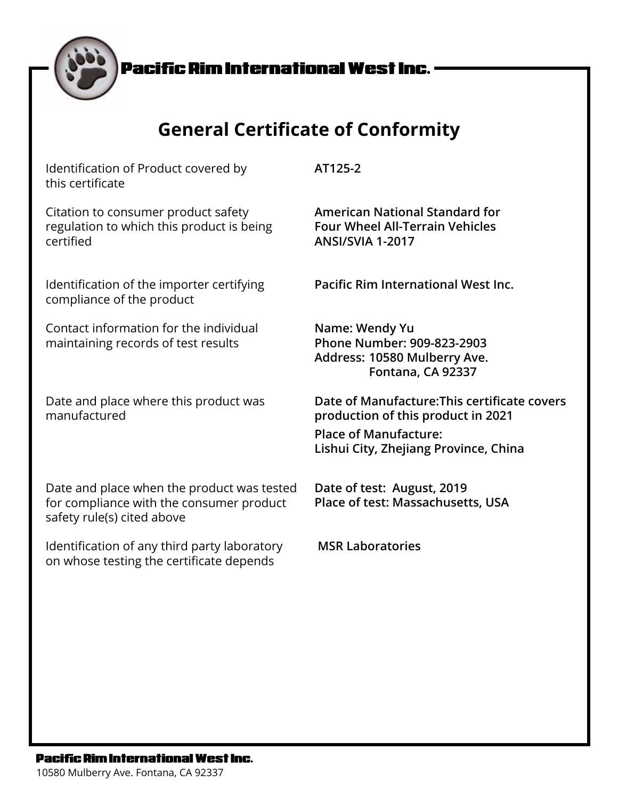# **General Certificate of Conformity**

Identification of Product covered by this certificate

Citation to consumer product safety regulation to which this product is being certified

Identification of the importer certifying compliance of the product

Contact information for the individual maintaining records of test results

Date and place where this product was manufactured

**AT125-2**

**American National Standard for Four Wheel All-Terrain Vehicles ANSI/SVIA 1-2017**

**Pacific Rim International West Inc.**

**Name: Wendy Yu Phone Number: 909-823-2903 Address: 10580 Mulberry Ave. Fontana, CA 92337**

**Date of Manufacture:This certificate covers production of this product in 2021**

**Place of Manufacture: Lishui City, Zhejiang Province, China**

Date and place when the product was tested for compliance with the consumer product safety rule(s) cited above

Identification of any third party laboratory on whose testing the certificate depends

**Date of test: August, 2019 Place of test: Massachusetts, USA**

 **MSR Laboratories**

#### **Pacific Rim International West Inc.**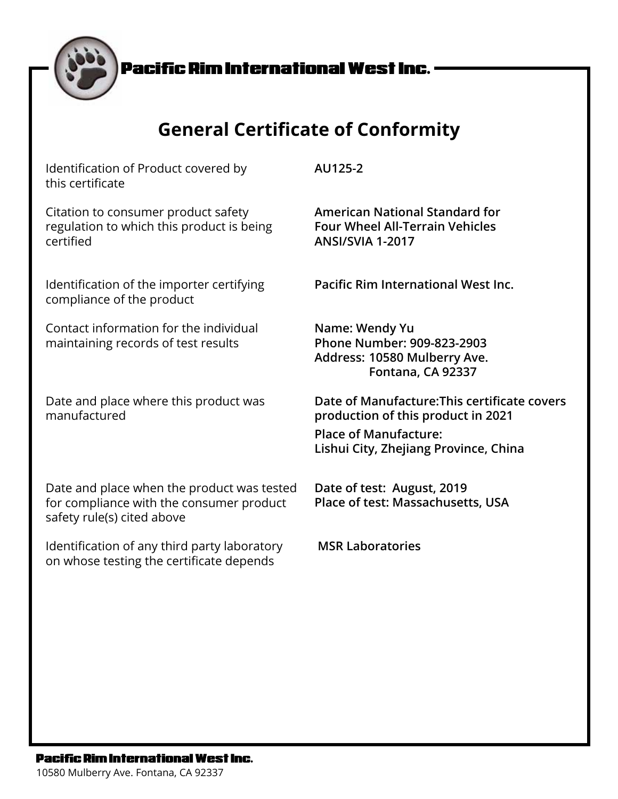# **General Certificate of Conformity**

Identification of Product covered by this certificate

Citation to consumer product safety regulation to which this product is being certified

Identification of the importer certifying compliance of the product

Contact information for the individual maintaining records of test results

Date and place where this product was manufactured

Date and place when the product was tested for compliance with the consumer product safety rule(s) cited above

Identification of any third party laboratory on whose testing the certificate depends

**AU125-2**

**American National Standard for Four Wheel All-Terrain Vehicles ANSI/SVIA 1-2017**

**Pacific Rim International West Inc.**

**Name: Wendy Yu Phone Number: 909-823-2903 Address: 10580 Mulberry Ave. Fontana, CA 92337**

**Date of Manufacture:This certificate covers production of this product in 2021**

**Place of Manufacture: Lishui City, Zhejiang Province, China**

**Date of test: August, 2019 Place of test: Massachusetts, USA**

 **MSR Laboratories**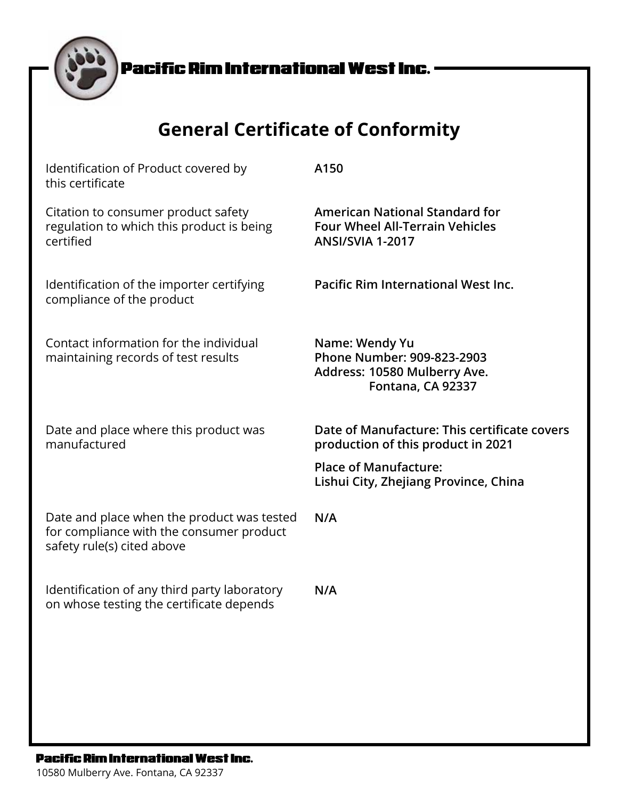| <b>General Certificate of Conformity</b>                                                                             |                                                                                                            |  |
|----------------------------------------------------------------------------------------------------------------------|------------------------------------------------------------------------------------------------------------|--|
| Identification of Product covered by<br>this certificate                                                             | A150                                                                                                       |  |
| Citation to consumer product safety<br>regulation to which this product is being<br>certified                        | <b>American National Standard for</b><br><b>Four Wheel All-Terrain Vehicles</b><br><b>ANSI/SVIA 1-2017</b> |  |
| Identification of the importer certifying<br>compliance of the product                                               | Pacific Rim International West Inc.                                                                        |  |
| Contact information for the individual<br>maintaining records of test results                                        | Name: Wendy Yu<br>Phone Number: 909-823-2903<br>Address: 10580 Mulberry Ave.<br>Fontana, CA 92337          |  |
| Date and place where this product was<br>manufactured                                                                | Date of Manufacture: This certificate covers<br>production of this product in 2021                         |  |
|                                                                                                                      | <b>Place of Manufacture:</b><br>Lishui City, Zhejiang Province, China                                      |  |
| Date and place when the product was tested<br>for compliance with the consumer product<br>safety rule(s) cited above | N/A                                                                                                        |  |
| Identification of any third party laboratory<br>on whose testing the certificate depends                             | N/A                                                                                                        |  |

### **Pacific Rim International West Inc.**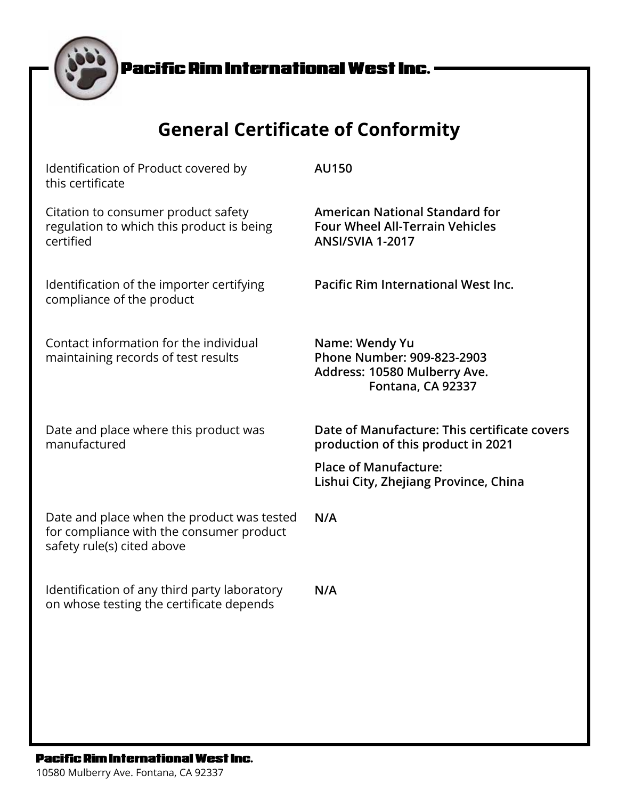| <b>General Certificate of Conformity</b>                                                                             |                                                                                                            |  |
|----------------------------------------------------------------------------------------------------------------------|------------------------------------------------------------------------------------------------------------|--|
| Identification of Product covered by<br>this certificate                                                             | <b>AU150</b>                                                                                               |  |
| Citation to consumer product safety<br>regulation to which this product is being<br>certified                        | <b>American National Standard for</b><br><b>Four Wheel All-Terrain Vehicles</b><br><b>ANSI/SVIA 1-2017</b> |  |
| Identification of the importer certifying<br>compliance of the product                                               | Pacific Rim International West Inc.                                                                        |  |
| Contact information for the individual<br>maintaining records of test results                                        | Name: Wendy Yu<br>Phone Number: 909-823-2903<br>Address: 10580 Mulberry Ave.<br>Fontana, CA 92337          |  |
| Date and place where this product was<br>manufactured                                                                | Date of Manufacture: This certificate covers<br>production of this product in 2021                         |  |
|                                                                                                                      | <b>Place of Manufacture:</b><br>Lishui City, Zhejiang Province, China                                      |  |
| Date and place when the product was tested<br>for compliance with the consumer product<br>safety rule(s) cited above | N/A                                                                                                        |  |
| Identification of any third party laboratory<br>on whose testing the certificate depends                             | N/A                                                                                                        |  |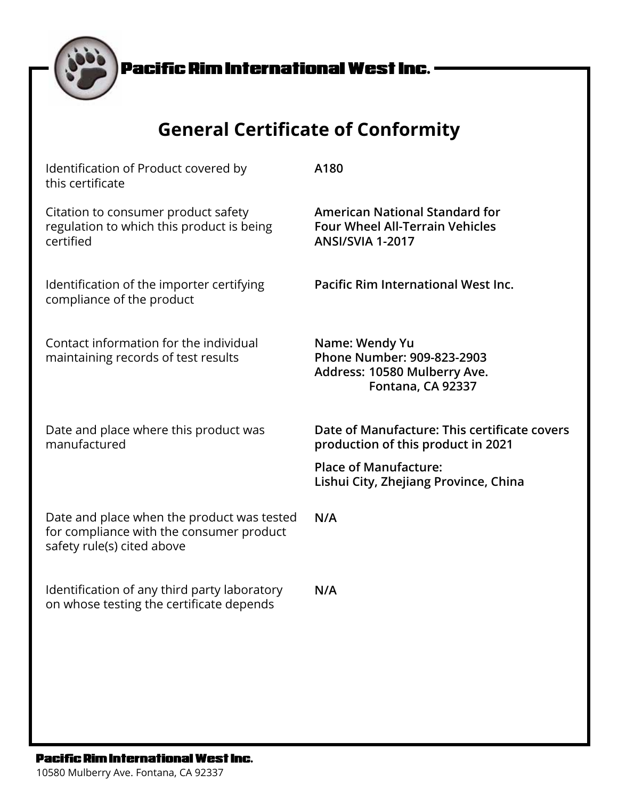| <b>General Certificate of Conformity</b>                                                                             |                                                                                                            |  |
|----------------------------------------------------------------------------------------------------------------------|------------------------------------------------------------------------------------------------------------|--|
| Identification of Product covered by<br>this certificate                                                             | A180                                                                                                       |  |
| Citation to consumer product safety<br>regulation to which this product is being<br>certified                        | <b>American National Standard for</b><br><b>Four Wheel All-Terrain Vehicles</b><br><b>ANSI/SVIA 1-2017</b> |  |
| Identification of the importer certifying<br>compliance of the product                                               | <b>Pacific Rim International West Inc.</b>                                                                 |  |
| Contact information for the individual<br>maintaining records of test results                                        | Name: Wendy Yu<br>Phone Number: 909-823-2903<br>Address: 10580 Mulberry Ave.<br>Fontana, CA 92337          |  |
| Date and place where this product was<br>manufactured                                                                | Date of Manufacture: This certificate covers<br>production of this product in 2021                         |  |
|                                                                                                                      | <b>Place of Manufacture:</b><br>Lishui City, Zhejiang Province, China                                      |  |
| Date and place when the product was tested<br>for compliance with the consumer product<br>safety rule(s) cited above | N/A                                                                                                        |  |
| Identification of any third party laboratory<br>on whose testing the certificate depends                             | N/A                                                                                                        |  |

### **Pacific Rim International West Inc.**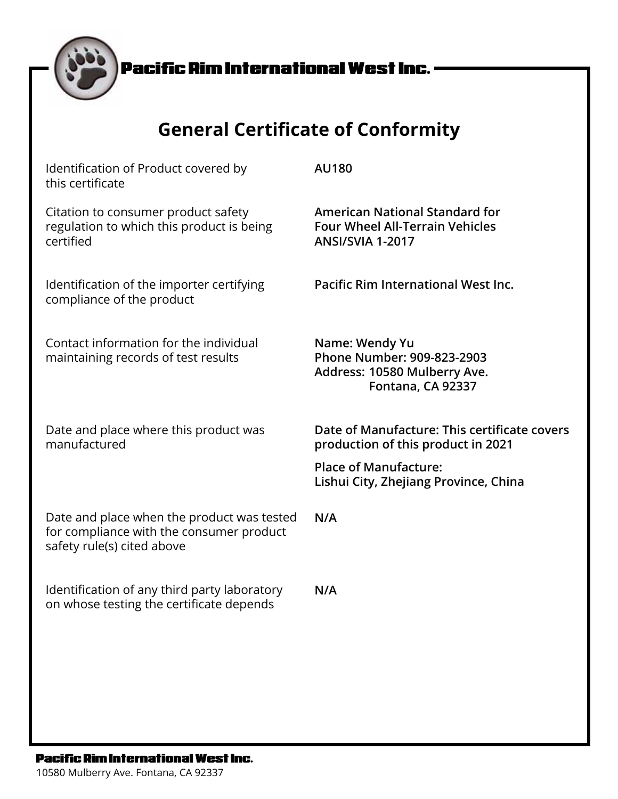| <b>General Certificate of Conformity</b>                                                                             |                                                                                                            |  |
|----------------------------------------------------------------------------------------------------------------------|------------------------------------------------------------------------------------------------------------|--|
| Identification of Product covered by<br>this certificate                                                             | <b>AU180</b>                                                                                               |  |
| Citation to consumer product safety<br>regulation to which this product is being<br>certified                        | <b>American National Standard for</b><br><b>Four Wheel All-Terrain Vehicles</b><br><b>ANSI/SVIA 1-2017</b> |  |
| Identification of the importer certifying<br>compliance of the product                                               | Pacific Rim International West Inc.                                                                        |  |
| Contact information for the individual<br>maintaining records of test results                                        | Name: Wendy Yu<br>Phone Number: 909-823-2903<br>Address: 10580 Mulberry Ave.<br>Fontana, CA 92337          |  |
| Date and place where this product was<br>manufactured                                                                | Date of Manufacture: This certificate covers<br>production of this product in 2021                         |  |
|                                                                                                                      | <b>Place of Manufacture:</b><br>Lishui City, Zhejiang Province, China                                      |  |
| Date and place when the product was tested<br>for compliance with the consumer product<br>safety rule(s) cited above | N/A                                                                                                        |  |
| Identification of any third party laboratory<br>on whose testing the certificate depends                             | N/A                                                                                                        |  |

### **Pacific Rim International West Inc.**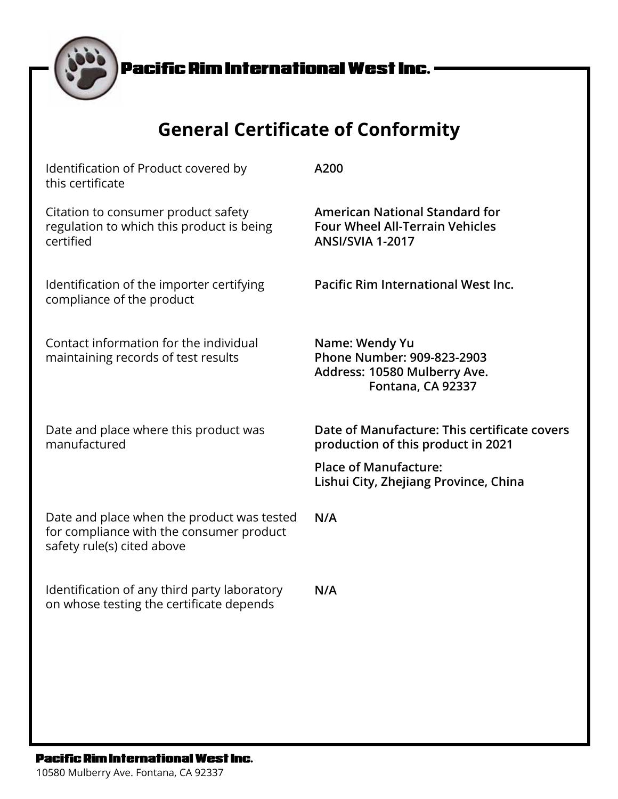| <b>General Certificate of Conformity</b>                                                                             |                                                                                                            |  |
|----------------------------------------------------------------------------------------------------------------------|------------------------------------------------------------------------------------------------------------|--|
| Identification of Product covered by<br>this certificate                                                             | A200                                                                                                       |  |
| Citation to consumer product safety<br>regulation to which this product is being<br>certified                        | <b>American National Standard for</b><br><b>Four Wheel All-Terrain Vehicles</b><br><b>ANSI/SVIA 1-2017</b> |  |
| Identification of the importer certifying<br>compliance of the product                                               | <b>Pacific Rim International West Inc.</b>                                                                 |  |
| Contact information for the individual<br>maintaining records of test results                                        | Name: Wendy Yu<br>Phone Number: 909-823-2903<br>Address: 10580 Mulberry Ave.<br>Fontana, CA 92337          |  |
| Date and place where this product was<br>manufactured                                                                | Date of Manufacture: This certificate covers<br>production of this product in 2021                         |  |
|                                                                                                                      | <b>Place of Manufacture:</b><br>Lishui City, Zhejiang Province, China                                      |  |
| Date and place when the product was tested<br>for compliance with the consumer product<br>safety rule(s) cited above | N/A                                                                                                        |  |
| Identification of any third party laboratory<br>on whose testing the certificate depends                             | N/A                                                                                                        |  |